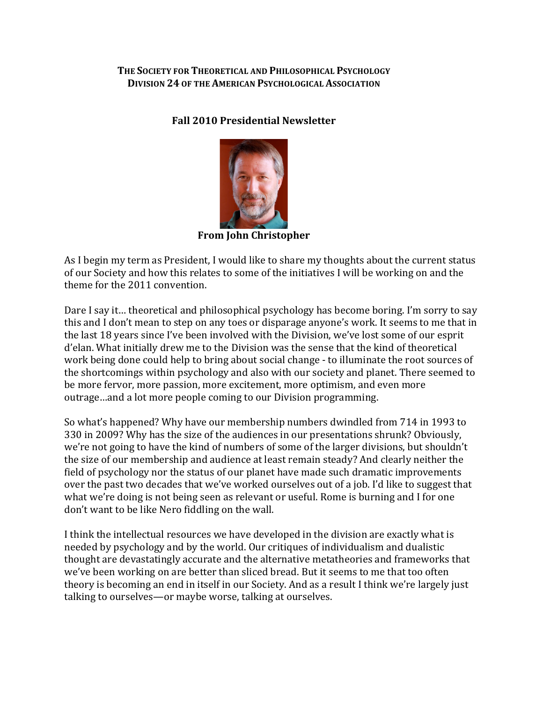THE SOCIETY FOR THEORETICAL AND PHILOSOPHICAL PSYCHOLOGY **DIVISION 24 OF THE AMERICAN PSYCHOLOGICAL ASSOCIATION** 

## **Fall 2010 Presidential Newsletter**



**From John Christopher**

As I begin my term as President, I would like to share my thoughts about the current status of our Society and how this relates to some of the initiatives I will be working on and the theme for the 2011 convention.

Dare I say it... theoretical and philosophical psychology has become boring. I'm sorry to say this and I don't mean to step on any toes or disparage anyone's work. It seems to me that in the last 18 years since I've been involved with the Division, we've lost some of our esprit d'elan. What initially drew me to the Division was the sense that the kind of theoretical work being done could help to bring about social change - to illuminate the root sources of the shortcomings within psychology and also with our society and planet. There seemed to be more fervor, more passion, more excitement, more optimism, and even more outrage ... and a lot more people coming to our Division programming.

So what's happened? Why have our membership numbers dwindled from 714 in 1993 to 330 in 2009? Why has the size of the audiences in our presentations shrunk? Obviously, we're not going to have the kind of numbers of some of the larger divisions, but shouldn't the size of our membership and audience at least remain steady? And clearly neither the field of psychology nor the status of our planet have made such dramatic improvements over the past two decades that we've worked ourselves out of a job. I'd like to suggest that what we're doing is not being seen as relevant or useful. Rome is burning and I for one don't want to be like Nero fiddling on the wall.

I think the intellectual resources we have developed in the division are exactly what is needed by psychology and by the world. Our critiques of individualism and dualistic thought are devastatingly accurate and the alternative metatheories and frameworks that we've been working on are better than sliced bread. But it seems to me that too often theory is becoming an end in itself in our Society. And as a result I think we're largely just talking to ourselves—or maybe worse, talking at ourselves.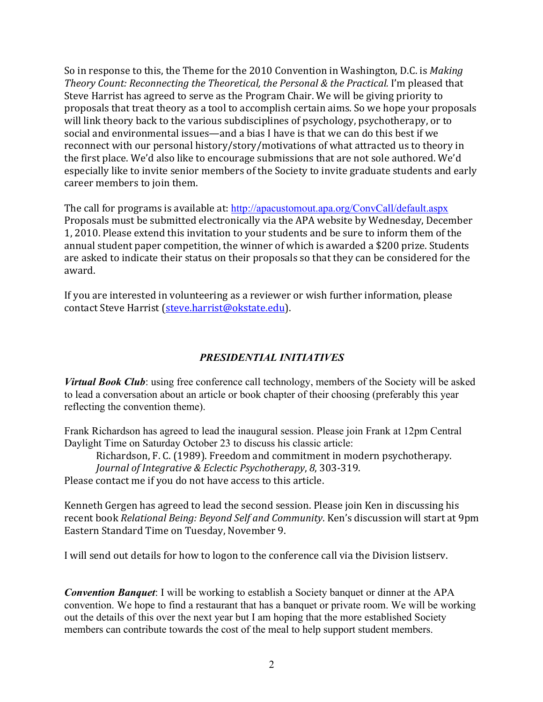So in response to this, the Theme for the 2010 Convention in Washington, D.C. is *Making Theory Count: Reconnecting the Theoretical, the Personal & the Practical. I'm pleased that* Steve Harrist has agreed to serve as the Program Chair. We will be giving priority to proposals that treat theory as a tool to accomplish certain aims. So we hope your proposals will link theory back to the various subdisciplines of psychology, psychotherapy, or to social and environmental issues—and a bias I have is that we can do this best if we reconnect with our personal history/story/motivations of what attracted us to theory in the first place. We'd also like to encourage submissions that are not sole authored. We'd especially like to invite senior members of the Society to invite graduate students and early career members to join them.

The call for programs is available at: http://apacustomout.apa.org/ConvCall/default.aspx Proposals must be submitted electronically via the APA website by Wednesday, December 1, 2010. Please extend this invitation to your students and be sure to inform them of the annual student paper competition, the winner of which is awarded a \$200 prize. Students are asked to indicate their status on their proposals so that they can be considered for the award. 

If you are interested in volunteering as a reviewer or wish further information, please contact Steve Harrist (steve.harrist@okstate.edu).

# *PRESIDENTIAL INITIATIVES*

*Virtual Book Club*: using free conference call technology, members of the Society will be asked to lead a conversation about an article or book chapter of their choosing (preferably this year reflecting the convention theme).

Frank Richardson has agreed to lead the inaugural session. Please join Frank at 12pm Central Daylight Time on Saturday October 23 to discuss his classic article:

Richardson, F. C. (1989). Freedom and commitment in modern psychotherapy. *Journal of Integrative & Eclectic Psychotherapy, 8, 303-319.* 

Please contact me if you do not have access to this article.

Kenneth Gergen has agreed to lead the second session. Please join Ken in discussing his recent book *Relational Being: Beyond Self and Community*. Ken's discussion will start at 9pm Eastern Standard Time on Tuesday, November 9.

I will send out details for how to logon to the conference call via the Division listserv.

*Convention Banquet*: I will be working to establish a Society banquet or dinner at the APA convention. We hope to find a restaurant that has a banquet or private room. We will be working out the details of this over the next year but I am hoping that the more established Society members can contribute towards the cost of the meal to help support student members.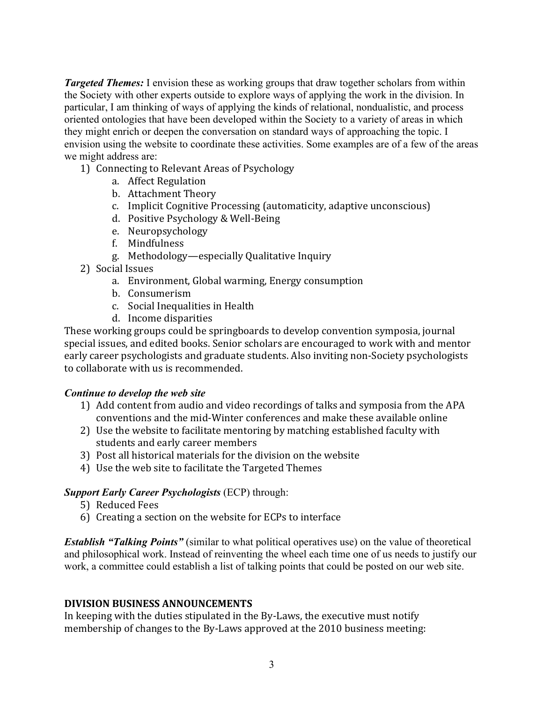*Targeted Themes:* I envision these as working groups that draw together scholars from within the Society with other experts outside to explore ways of applying the work in the division. In particular, I am thinking of ways of applying the kinds of relational, nondualistic, and process oriented ontologies that have been developed within the Society to a variety of areas in which they might enrich or deepen the conversation on standard ways of approaching the topic. I envision using the website to coordinate these activities. Some examples are of a few of the areas we might address are:

- 1) Connecting to Relevant Areas of Psychology
	- a. Affect Regulation
	- b. Attachment Theory
	- c. Implicit Cognitive Processing (automaticity, adaptive unconscious)
	- d. Positive Psychology & Well-Being
	- e. Neuropsychology
	- f. Mindfulness
	- g. Methodology—especially Qualitative Inquiry
- 2) Social Issues
	- a. Environment, Global warming, Energy consumption
	- b. Consumerism
	- c. Social Inequalities in Health
	- d. Income disparities

These working groups could be springboards to develop convention symposia, journal special issues, and edited books. Senior scholars are encouraged to work with and mentor early career psychologists and graduate students. Also inviting non-Society psychologists to collaborate with us is recommended.

#### *Continue to develop the web site*

- 1) Add content from audio and video recordings of talks and symposia from the APA conventions and the mid-Winter conferences and make these available online
- 2) Use the website to facilitate mentoring by matching established faculty with students and early career members
- 3) Post all historical materials for the division on the website
- 4) Use the web site to facilitate the Targeted Themes

#### *Support Early Career Psychologists* (ECP) through:

- 5) Reduced Fees
- 6) Creating a section on the website for ECPs to interface

*Establish "Talking Points"* (similar to what political operatives use) on the value of theoretical and philosophical work. Instead of reinventing the wheel each time one of us needs to justify our work, a committee could establish a list of talking points that could be posted on our web site.

#### **DIVISION BUSINESS ANNOUNCEMENTS**

In keeping with the duties stipulated in the By-Laws, the executive must notify membership of changes to the By-Laws approved at the 2010 business meeting: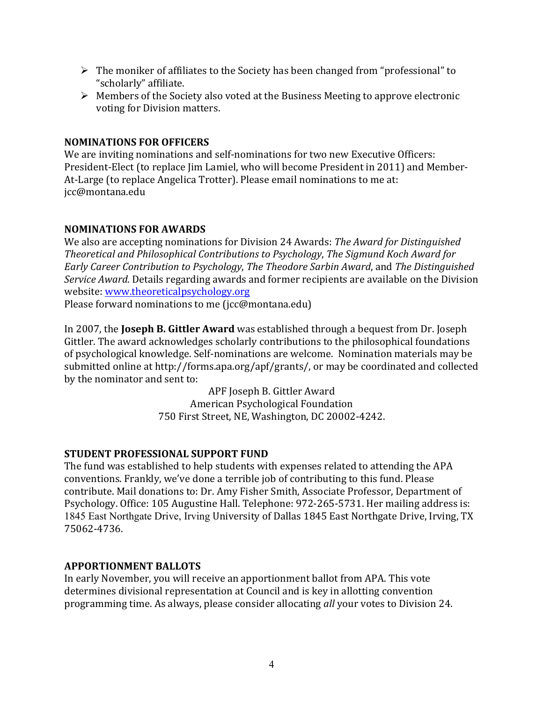- $\triangleright$  The moniker of affiliates to the Society has been changed from "professional" to "scholarly" affiliate.
- $\triangleright$  Members of the Society also voted at the Business Meeting to approve electronic voting for Division matters.

### **NOMINATIONS FOR OFFICERS**

We are inviting nominations and self-nominations for two new Executive Officers: President-Elect (to replace Jim Lamiel, who will become President in 2011) and Member-At-Large (to replace Angelica Trotter). Please email nominations to me at: jcc@montana.edu

### **NOMINATIONS FOR AWARDS**

We also are accepting nominations for Division 24 Awards: *The Award for Distinguished Theoretical and Philosophical Contributions to Psychology, The Sigmund Koch Award for Early Career Contribution to Psychology, The Theodore Sarbin Award, and The Distinguished Service Award*. Details regarding awards and former recipients are available on the Division website: www.theoreticalpsychology.org

Please forward nominations to me ( $\text{ic}$ @montana.edu)

In 2007, the **Joseph B. Gittler Award** was established through a bequest from Dr. Joseph Gittler. The award acknowledges scholarly contributions to the philosophical foundations of psychological knowledge. Self-nominations are welcome. Nomination materials may be submitted online at http://forms.apa.org/apf/grants/, or may be coordinated and collected by the nominator and sent to:

> APF Joseph B. Gittler Award American Psychological Foundation 750 First Street, NE, Washington, DC 20002-4242.

# **STUDENT PROFESSIONAL SUPPORT FUND**

The fund was established to help students with expenses related to attending the APA conventions. Frankly, we've done a terrible job of contributing to this fund. Please contribute. Mail donations to: Dr. Amy Fisher Smith, Associate Professor, Department of Psychology. Office: 105 Augustine Hall. Telephone: 972-265-5731. Her mailing address is: 1845 East Northgate Drive, Irving University of Dallas 1845 East Northgate Drive, Irving, TX 75062-4736.

#### **APPORTIONMENT BALLOTS**

In early November, you will receive an apportionment ballot from APA. This vote determines divisional representation at Council and is key in allotting convention programming time. As always, please consider allocating *all* your votes to Division 24.